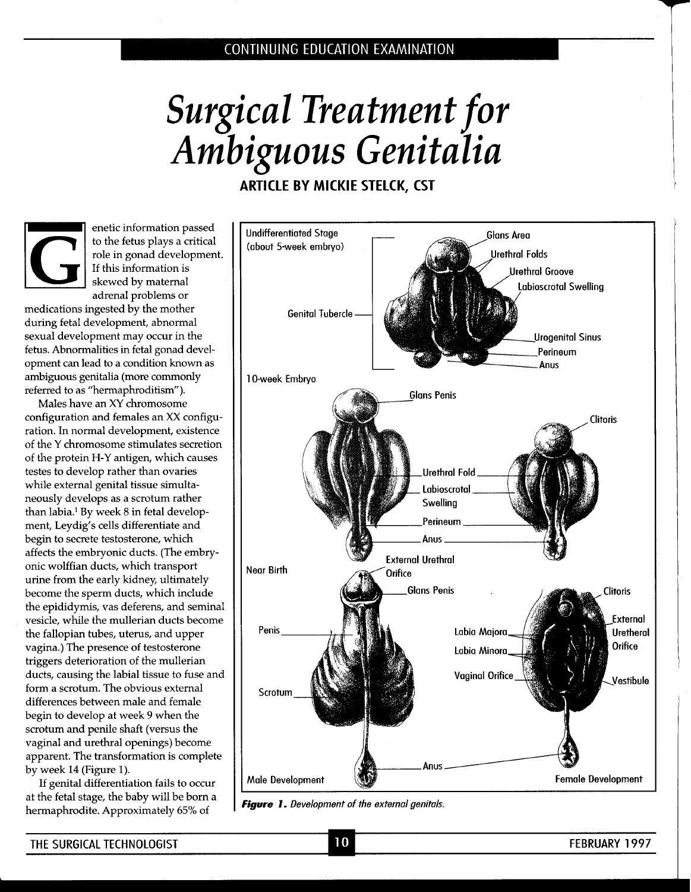

**ARTICLE BY MlCKlE STELCK, CST** 



medications ingested by the mother **Fig. 1** Genital Tubercle during fetal development, abnormal sexual development may occur in the fetus. Abnormalities in fetal gonad development can lead to a condition known as ambiguous genitalia (more commonly 10-week Embryo referred to as "hermaphroditism").

Males have an XY chromosome configuration and females an XX configuration. In normal development, existence of the Y chromosome stimulates secretion of the protein H-Y antigen, which causes testes to develop rather than ovaries while external genital tissue simultaneously develops as a scrotum rather than labia.' By week 8 in fetal development, Leydig's cells differentiate and begin to secrete testosterone, which affects the embryonic ducts. (The embryonic wolffian ducts, which transport  $\blacksquare$  Near Birth urine from the early kidney, ultimately become the sperm ducts, which include the epididymis, vas deferens, and seminal vesicle, while the mullerian ducts become the fallopian tubes, uterus, and upper vagina.) The presence of testosterone triggers deterioration of the mullerian ducts, causing the labial tissue to fuse and form a scrotum. The obvious external differences between male and female begin to develop at week 9 when the scrotum and penile shaft (versus the vaginal and urethral openings) become apparent. The transformation is complete

at the fetal stage, the baby will be born a **i** *Figure 1. Development of the external genitals.* **<br><b>***Figure 1. Development of the external genitals.* 



 $10$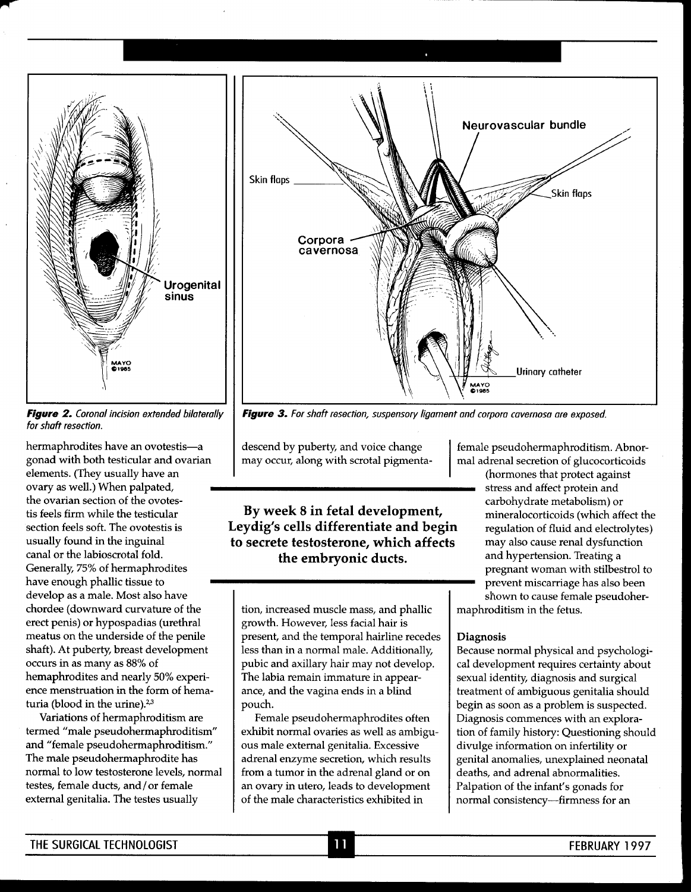**I Urogenital sinus** 



hermaphrodites have an ovotestis-a gonad with both testicular and ovarian elements. (They usually have an ovary as well.) When palpated, the ovarian section of the ovotestis feels firm while the testicular section feels soft. The ovotestis is usually found in the inguinal canal or the labioscrotal fold. Generally, 75% of hermaphrodites have enough phallic tissue to develop as a male. Most also have chordee (downward curvature of the erect penis) or hypospadias (urethral meatus on the underside of the penile shaft). At puberty, breast development occurs in as many as 88% of hemaphrodites and nearly 50% experience menstruation in the form of hematuria (blood in the urine). $2,3$ 

Variations of hermaphroditism are termed "male pseudohermaphroditism" and "female pseudohermaphroditism." The male pseudohermaphrodite has normal to low testosterone levels, normal testes, female ducts, and/or female external genitalia. The testes usually



**Figure 3.** For shaft resection, suspensory ligament and corpora cavernosa are exposed.

Leydig's cells differentiate and begin regulation of fluid and electrolytes) **to secrete testosterone, which affects** may also cause renal dysfunction **the embryonic ducts.** 

tion, increased muscle mass, and phallic growth. However, less facial hair is present, and the temporal hairline recedes less than in a normal male. Additionally, pubic and axillary hair may not develop. The labia remain immature in appearance, and the vagina ends in a blind pouch.

Female pseudohermaphrodites often exhibit normal ovaries as well as ambiguous male external genitalia. Excessive adrenal enzyme secretion, which results from a tumor in the adrenal gland or on an ovary in utero, leads to development of the male characteristics exhibited in

descend by puberty, and voice change female pseudohermaphroditism. Abnor-<br>may occur, along with scrotal pigmenta-<br>discretion of glucocorticoids mal adrenal secretion of glucocorticoids

(hormones that protect against stress and affect protein and **By week 8 in fetal development,** and a carbohydrate metabolism) or **By week 8 in fetal development,** and hypertension. Treating a pregnant woman with stilbestrol to prevent miscarriage has also been maphroditism in the fetus.

#### **Diagnosis**

Because normal physical and psychological development requires certainty about sexual identity, diagnosis and surgical treatment of ambiguous genitalia should begin as soon as a problem is suspected. Diagnosis commences with an exploration of family history: Questioning should divulge information on infertility or genital anomalies, unexplained neonatal deaths, and adrenal abnormalities. Palpation of the infant's gonads for normal consistency-firmness for an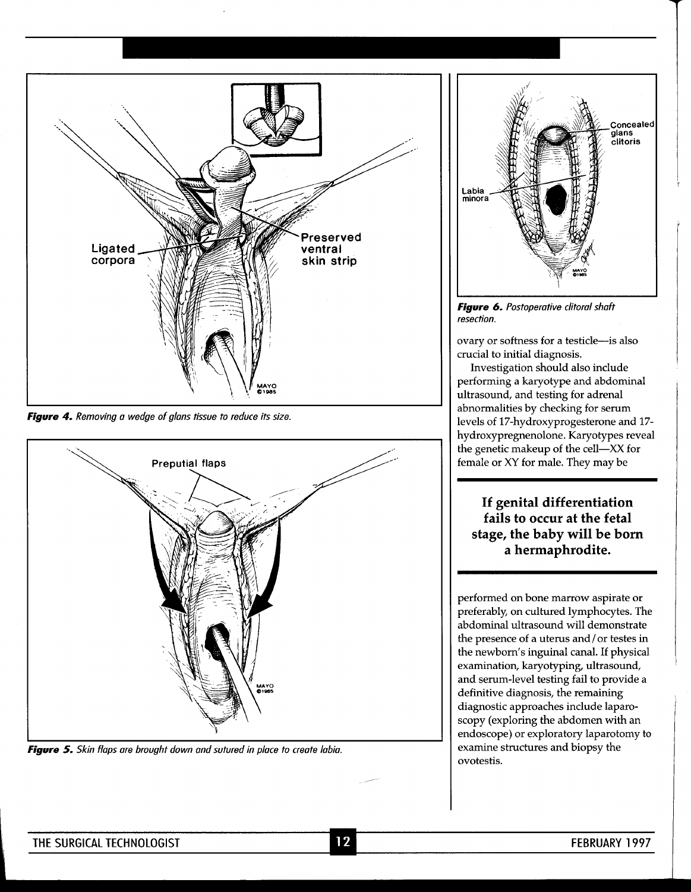

Figure 4. Removing a wedge of glans tissue to reduce its size.



**Figure 5.** Skin flaps are brought down and sutured in place to create labia.



**Figure 6.** Postoperative clitoral shaft resection.

ovary or softness for a testicle-is also crucial to initial diagnosis.

Investigation should also include performing a karyotype and abdominal ultrasound, and testing for adrenal abnormalities by checking for serum levels of 17-hydroxyprogesterone and 17 hydroxypregnenolone. Karyotypes reveal the genetic makeup of the cell-XX for female or XY for male. They may be

**If genital differentiation fails to occur at the fetal stage, the baby will be born a hermaphrodite.** 

performed on bone marrow aspirate or preferably, on cultured lymphocytes. The abdominal ultrasound will demonstrate the presence of a uterus and/ or testes in the newborn's inguinal canal. If physical examination, karyotyping, ultrasound, and serum-level testing fail to provide a definitive diagnosis, the remaining diagnostic approaches include laparoscopy (exploring the abdomen with an endoscope) or exploratory laparotomy to examine structures and biopsy the ovotestis.

1.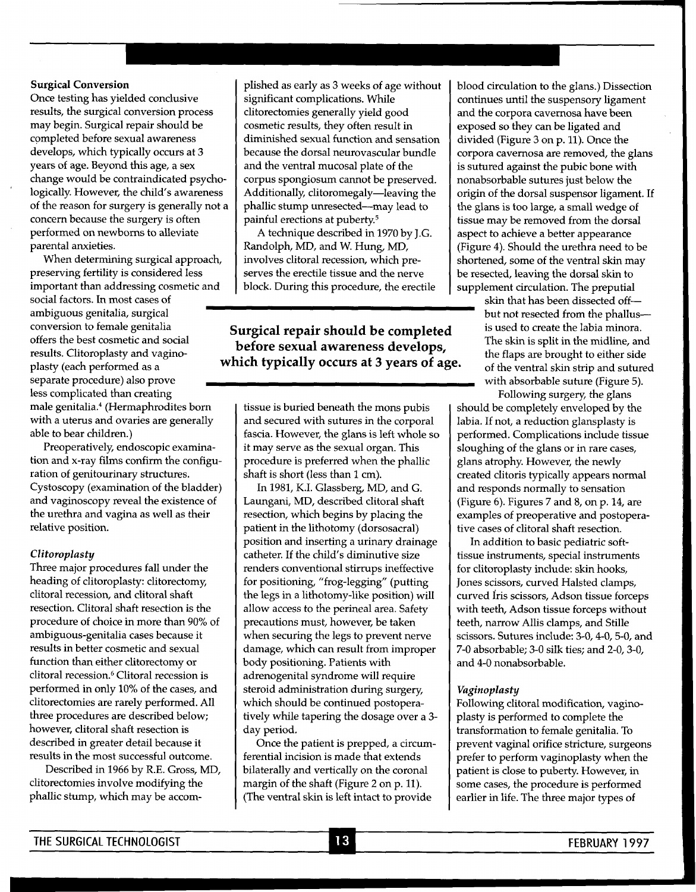## **Surgical Conversion**

Once testing has yielded conclusive results, the surgical conversion process may begin. Surgical repair should be completed before sexual awareness develops, which typically occurs at 3 years of age. Beyond this age, a sex change would be contraindicated psychologically. However, the child's awareness of the reason for surgery is generally not a concern because the surgery is often performed on newborns to alleviate parental anxieties.

When determining surgical approach, preserving fertility is considered less important than addressing cosmetic and social factors. In most cases of ambiguous genitalia, surgical separate procedure) also prove less complicated than creating male genitalia.4 (Hermaphrodites born with a uterus and ovaries are generally able to bear children.)

Preoperatively, endoscopic examination and x-ray films confirm the configuration of genitourinary structures. Cystoscopy (examination of the bladder) and vaginoscopy reveal the existence of the urethra and vagina as well as their relative position.

## *Clitoroplasty*

Three major procedures fall under the heading of clitoroplasty: clitorectomy, clitoral recession, and clitoral shaft resection. Clitoral shaft resection is the procedure of choice in more than 90% of ambiguous-genitalia cases because it results in better cosmetic and sexual function than either clitorectomy or clitoral recession.<sup>6</sup> Clitoral recession is performed in only 10% of the cases, and clitorectomies are rarely performed. All three procedures are described below; however, clitoral shaft resection is described in greater detail because it results in the most successful outcome.

Described in 1966 by R.E. Gross, MD, clitorectomies involve modifying the phallic stump, which may be accomplished as early as 3 weeks of age without significant complications. While clitorectomies generally yield good cosmetic results, they often result in diminished sexual function and sensation because the dorsal neurovascular bundle and the ventral mucosal plate of the corpus spongiosum cannot be preserved. Additionally, clitoromegaly-leaving the phallic stump unresected-may lead to painful erections at puberty.<sup>5</sup>

A technique described in 1970 by J.G. Randolph, MD, and W. Hung, MD, involves clitoral recession, which preserves the erectile tissue and the nerve block. During this procedure, the erectile

# conversion to female genitalia **Surgical repair should be completed** is used to create the labia minora.<br> **Surgical repair should be completed** is used to create the labia minora.<br> **Surgical repair should be completed** is results. Clitoroplasty and vagino-<br> **which typically occurs at 3 years of age.**  $\frac{d}{dt}$  of the ventral skin strip and sutured as a **occurs at 3 years of age.**

tissue is buried beneath the mons pubis and secured with sutures in the corporal fascia. However, the glans is left whole so it may serve as the sexual organ. This procedure is preferred when the phallic shaft is short (less than 1 cm).

In 1981, K.I. Glassberg, MD, and G. Laungani, MD, described clitoral shaft resection, which begins by placing the patient in the lithotomy (dorsosacral) position and inserting a urinary drainage catheter. If the child's diminutive size renders conventional stirrups ineffective for positioning, "frog-legging" (putting the legs in a lithotomy-like position) will allow access to the perineal area. Safety precautions must, however, be taken when securing the legs to prevent nerve damage, which can result from improper body positioning. Patients with adrenogenital syndrome will require steroid administration during surgery, which should be continued postoperatively while tapering the dosage over a 3 day period.

Once the patient is prepped, a circumferential incision is made that extends bilaterally and vertically on the coronal margin of the shaft (Figure 2 on p. 11). (The ventral skin is left intact to provide

blood circulation to the glans.) Dissection continues until the suspensory ligament and the corpora cavernosa have been exposed so they can be ligated and divided (Figure 3 on p. 11). Once the corpora cavernosa are removed, the glans is sutured against the pubic bone with nonabsorbable sutures just below the origin of the dorsal suspensor ligament. If the glans is too large, a small wedge of tissue may be removed from the dorsal aspect to achieve a better appearance (Figure 4). Should the urethra need to be shortened, some of the ventral skin may be resected, leaving the dorsal skin to supplement circulation. The preputial

skin that has been dissected offbut not resected from the phallus---<br>is used to create the labia minora. with absorbable suture (Figure 5).

Following surgery, the glans should be completely enveloped by the labia. If not, a reduction glansplasty is performed. Complications include tissue sloughing of the glans or in rare cases, glans atrophy. However, the newly created clitoris typically appears normal and responds normally to sensation (Figure 6). Figures **7** and 8, on p. 14, are examples of preoperative and postoperative cases of clitoral shaft resection.

In addition to basic pediatric softtissue instruments, special instruments for clitoroplasty include: skin hooks, Jones scissors, curved Halsted clamps, curved Iris scissors, Adson tissue forceps with teeth, Adson tissue forceps without teeth, narrow Allis clamps, and Stille scissors. Sutures include: 3-0,4-0,5-0, and 7-0 absorbable; 3-0 silk ties; and 2-0, 3-0, and 4-0 nonabsorbable.

## *Vaginoplasty*

Following clitoral modification, vaginoplasty is performed to complete the transformation to female genitalia. To prevent vaginal orifice stricture, surgeons prefer to perform vaginoplasty when the patient is close to puberty. However, in some cases, the procedure is performed earlier in life. The three major types of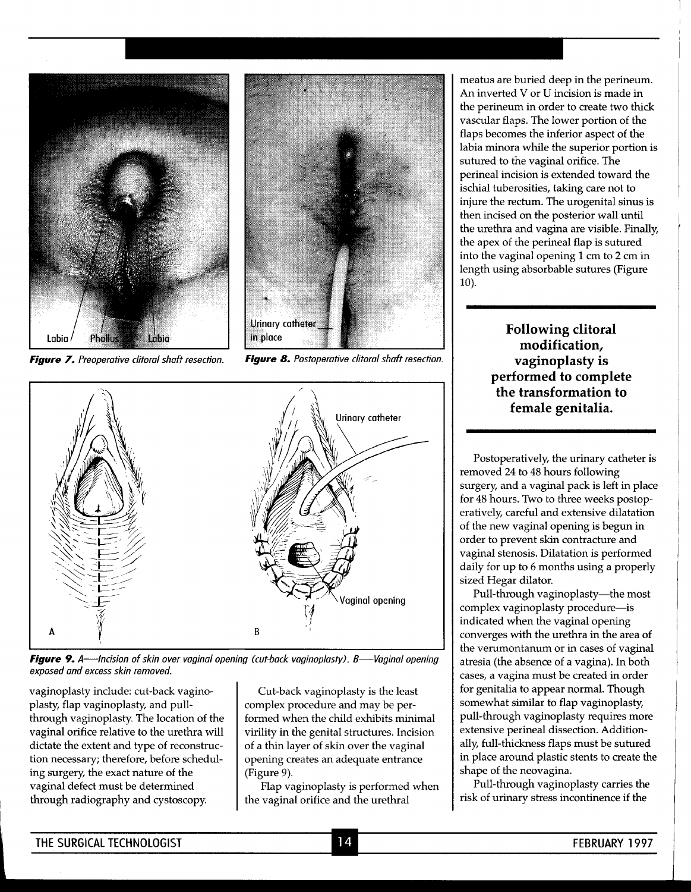

**Figure 7.** Preoperative clitoral shaft resection. **Figure 8.** Postoperative clitoral shaft resection.





**Figure 9.** A—Incision of skin over vaginal opening (cut-back vaginoplasty). B—Vaginal opening exposed and excess skin removed.

vaginoplasty include: cut-back vaginoplasty, flap vaginoplasty, and pullthrough vaginoplasty. The location of the vaginal orifice relative to the urethra will dictate the extent and type of reconstruction necessary; therefore, before scheduling surgery, the exact nature of the vaginal defect must be determined through radiography and cystoscopy.

Cut-back vaginoplasty is the least complex procedure and may be performed when the child exhibits minimal virility in the genital structures. Incision of a thin layer of skin over the vaginal opening creates an adequate entrance (Figure 9).

Flap vaginoplasty is performed when the vaginal orifice and the urethral

meatus are buried deep in the perineum. An inverted V or U incision is made in the perineum in order to create two thick vascular flaps. The lower portion of the flaps becomes the inferior aspect of the labia minora while the superior portion is sutured to the vaginal orifice. The perineal incision is extended toward the ischial tuberosities, taking care not to injure the rectum. The urogenital sinus is then incised on the posterior wall until the urethra and vagina are visible. Finally, the apex of the perineal flap is sutured into the vaginal opening 1cm to **2** cm in length using absorbable sutures (Figure 10).

> **Following clitoral modification, vaginoplasty is performed to complete the transformation to female genitalia.**

Postoperatively, the urinary catheter is removed 24 to 48 hours following surgery, and a vaginal pack is left in place for 48 hours. Two to three weeks postoperatively, careful and extensive dilatation of the new vaginal opening is begun in order to prevent skin contracture and vaginal stenosis. Dilatation is performed daily for up to 6 months using a properly sized Hegar dilator.

Pull-through vaginoplasty-the most complex vaginoplasty procedure-is indicated when the vaginal opening converges with the urethra in the area of the verumontanum or in cases of vaginal atresia (the absence of a vagina). In both cases, a vagina must be created in order for genitalia to appear normal. Though somewhat similar to flap vaginoplasty, pull-through vaginoplasty requires more extensive perineal dissection. Additionally, full-thickness flaps must be sutured in place around plastic stents to create the shape of the neovagina.

Pull-through vaginoplasty carries the risk of urinary stress incontinence if the